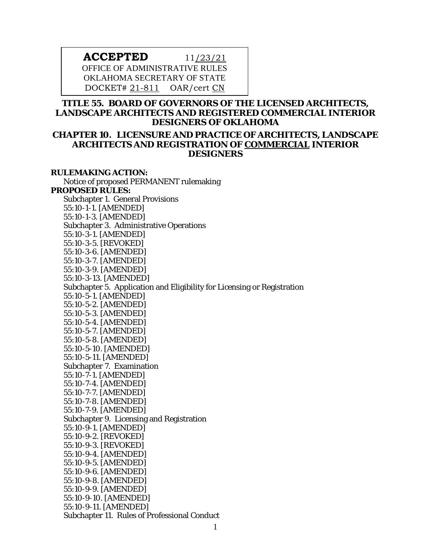# **ACCEPTED** 11/23/21 OFFICE OF ADMINISTRATIVE RULES OKLAHOMA SECRETARY OF STATE DOCKET# 21-811 OAR/cert CN

# **TITLE 55. BOARD OF GOVERNORS OF THE LICENSED ARCHITECTS, LANDSCAPE ARCHITECTS AND REGISTERED COMMERCIAL INTERIOR DESIGNERS OF OKLAHOMA**

# **CHAPTER 10. LICENSURE AND PRACTICE OF ARCHITECTS, LANDSCAPE ARCHITECTS AND REGISTRATION OF COMMERCIAL INTERIOR DESIGNERS**

## **RULEMAKING ACTION:**

Notice of proposed PERMANENT rulemaking **PROPOSED RULES:** Subchapter 1. General Provisions 55:10-1-1. [AMENDED] 55:10-1-3. [AMENDED] Subchapter 3. Administrative Operations 55:10-3-1. [AMENDED] 55:10-3-5. [REVOKED] 55:10-3-6. [AMENDED] 55:10-3-7. [AMENDED] 55:10-3-9. [AMENDED] 55:10-3-13. [AMENDED] Subchapter 5. Application and Eligibility for Licensing or Registration 55:10-5-1. [AMENDED] 55:10-5-2. [AMENDED] 55:10-5-3. [AMENDED] 55:10-5-4. [AMENDED] 55:10-5-7. [AMENDED] 55:10-5-8. [AMENDED] 55:10-5-10. [AMENDED] 55:10-5-11. [AMENDED] Subchapter 7. Examination 55:10-7-1. [AMENDED] 55:10-7-4. [AMENDED] 55:10-7-7. [AMENDED] 55:10-7-8. [AMENDED] 55:10-7-9. [AMENDED] Subchapter 9. Licensing and Registration 55:10-9-1. [AMENDED] 55:10-9-2. [REVOKED] 55:10-9-3. [REVOKED] 55:10-9-4. [AMENDED] 55:10-9-5. [AMENDED] 55:10-9-6. [AMENDED] 55:10-9-8. [AMENDED] 55:10-9-9. [AMENDED] 55:10-9-10. [AMENDED] 55:10-9-11. [AMENDED] Subchapter 11. Rules of Professional Conduct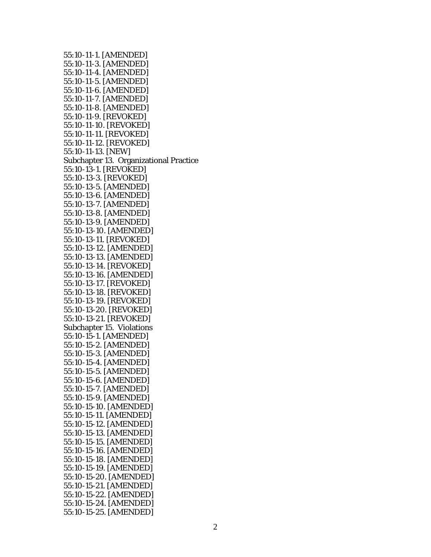55:10-11-1. [AMENDED] 55:10-11-3. [AMENDED] 55:10-11-4. [AMENDED] 55:10-11-5. [AMENDED] 55:10-11-6. [AMENDED] 55:10-11-7. [AMENDED] 55:10-11-8. [AMENDED] 55:10-11-9. [REVOKED] 55:10-11-10. [REVOKED] 55:10-11-11. [REVOKED] 55:10-11-12. [REVOKED] 55:10-11-13. [NEW] Subchapter 13. Organizational Practice 55:10-13-1. [REVOKED] 55:10-13-3. [REVOKED] 55:10-13-5. [AMENDED] 55:10-13-6. [AMENDED] 55:10-13-7. [AMENDED] 55:10-13-8. [AMENDED] 55:10-13-9. [AMENDED] 55:10-13-10. [AMENDED] 55:10-13-11. [REVOKED] 55:10-13-12. [AMENDED] 55:10-13-13. [AMENDED] 55:10-13-14. [REVOKED] 55:10-13-16. [AMENDED] 55:10-13-17. [REVOKED] 55:10-13-18. [REVOKED] 55:10-13-19. [REVOKED] 55:10-13-20. [REVOKED] 55:10-13-21. [REVOKED] Subchapter 15. Violations 55:10-15-1. [AMENDED] 55:10-15-2. [AMENDED] 55:10-15-3. [AMENDED] 55:10-15-4. [AMENDED] 55:10-15-5. [AMENDED] 55:10-15-6. [AMENDED] 55:10-15-7. [AMENDED] 55:10-15-9. [AMENDED] 55:10-15-10. [AMENDED] 55:10-15-11. [AMENDED] 55:10-15-12. [AMENDED] 55:10-15-13. [AMENDED] 55:10-15-15. [AMENDED] 55:10-15-16. [AMENDED] 55:10-15-18. [AMENDED] 55:10-15-19. [AMENDED] 55:10-15-20. [AMENDED] 55:10-15-21. [AMENDED] 55:10-15-22. [AMENDED] 55:10-15-24. [AMENDED] 55:10-15-25. [AMENDED]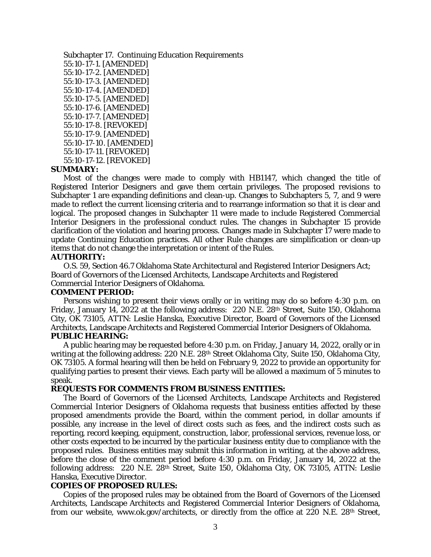Subchapter 17. Continuing Education Requirements 55:10-17-1. [AMENDED] 55:10-17-2. [AMENDED] 55:10-17-3. [AMENDED] 55:10-17-4. [AMENDED] 55:10-17-5. [AMENDED] 55:10-17-6. [AMENDED] 55:10-17-7. [AMENDED] 55:10-17-8. [REVOKED] 55:10-17-9. [AMENDED] 55:10-17-10. [AMENDED] 55:10-17-11. [REVOKED] 55:10-17-12. [REVOKED]

#### **SUMMARY:**

Most of the changes were made to comply with HB1147, which changed the title of Registered Interior Designers and gave them certain privileges. The proposed revisions to Subchapter 1 are expanding definitions and clean-up. Changes to Subchapters 5, 7, and 9 were made to reflect the current licensing criteria and to rearrange information so that it is clear and logical. The proposed changes in Subchapter 11 were made to include Registered Commercial Interior Designers in the professional conduct rules. The changes in Subchapter 15 provide clarification of the violation and hearing process. Changes made in Subchapter 17 were made to update Continuing Education practices. All other Rule changes are simplification or clean-up items that do not change the interpretation or intent of the Rules.

#### **AUTHORITY:**

O.S. 59, Section 46.7 Oklahoma State Architectural and Registered Interior Designers Act; Board of Governors of the Licensed Architects, Landscape Architects and Registered Commercial Interior Designers of Oklahoma.

#### **COMMENT PERIOD:**

Persons wishing to present their views orally or in writing may do so before 4:30 p.m. on Friday, January 14, 2022 at the following address: 220 N.E. 28th Street, Suite 150, Oklahoma City, OK 73105, ATTN: Leslie Hanska, Executive Director, Board of Governors of the Licensed Architects, Landscape Architects and Registered Commercial Interior Designers of Oklahoma. **PUBLIC HEARING:**

A public hearing may be requested before 4:30 p.m. on Friday, January 14, 2022, orally or in writing at the following address: 220 N.E. 28th Street Oklahoma City, Suite 150, Oklahoma City, OK 73105. A formal hearing will then be held on February 9, 2022 to provide an opportunity for qualifying parties to present their views. Each party will be allowed a maximum of 5 minutes to speak.

#### **REQUESTS FOR COMMENTS FROM BUSINESS ENTITIES:**

The Board of Governors of the Licensed Architects, Landscape Architects and Registered Commercial Interior Designers of Oklahoma requests that business entities affected by these proposed amendments provide the Board, within the comment period, in dollar amounts if possible, any increase in the level of direct costs such as fees, and the indirect costs such as reporting, record keeping, equipment, construction, labor, professional services, revenue loss, or other costs expected to be incurred by the particular business entity due to compliance with the proposed rules. Business entities may submit this information in writing, at the above address, before the close of the comment period before 4:30 p.m. on Friday, January 14, 2022 at the following address: 220 N.E. 28th Street, Suite 150, Oklahoma City, OK 73105, ATTN: Leslie Hanska, Executive Director.

## **COPIES OF PROPOSED RULES:**

Copies of the proposed rules may be obtained from the Board of Governors of the Licensed Architects, Landscape Architects and Registered Commercial Interior Designers of Oklahoma, from our website, www.ok.gov/architects, or directly from the office at 220 N.E. 28th Street,